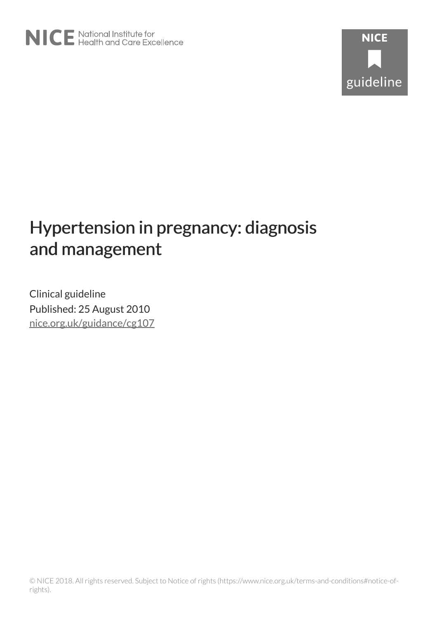# Hypertension in pregnancy: diagnosis and management

Clinical guideline Published: 25 August 2010 [nice.org.uk/guidance/cg107](http://nice.org.uk/guidance/cg107)

© NICE 2018. All rights reserved. Subject to Notice of rights (https://www.nice.org.uk/terms-and-conditions#notice-ofrights).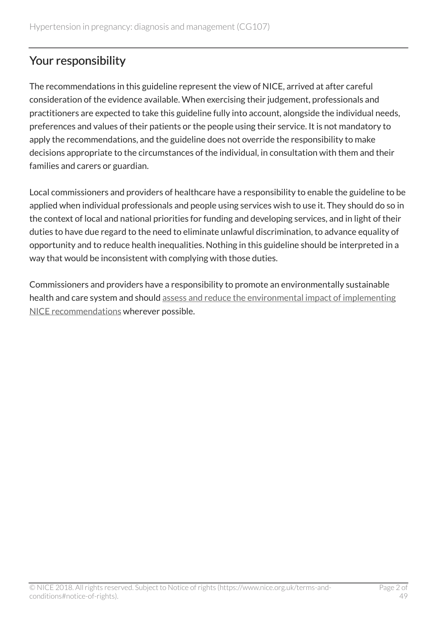# Your responsibility

The recommendations in this guideline represent the view of NICE, arrived at after careful consideration of the evidence available. When exercising their judgement, professionals and practitioners are expected to take this guideline fully into account, alongside the individual needs, preferences and values of their patients or the people using their service. It is not mandatory to apply the recommendations, and the guideline does not override the responsibility to make decisions appropriate to the circumstances of the individual, in consultation with them and their families and carers or guardian.

Local commissioners and providers of healthcare have a responsibility to enable the guideline to be applied when individual professionals and people using services wish to use it. They should do so in the context of local and national priorities for funding and developing services, and in light of their duties to have due regard to the need to eliminate unlawful discrimination, to advance equality of opportunity and to reduce health inequalities. Nothing in this guideline should be interpreted in a way that would be inconsistent with complying with those duties.

Commissioners and providers have a responsibility to promote an environmentally sustainable health and care system and should [assess and reduce the environmental impact of implementing](https://www.nice.org.uk/about/who-we-are/sustainability) [NICE recommendations](https://www.nice.org.uk/about/who-we-are/sustainability) wherever possible.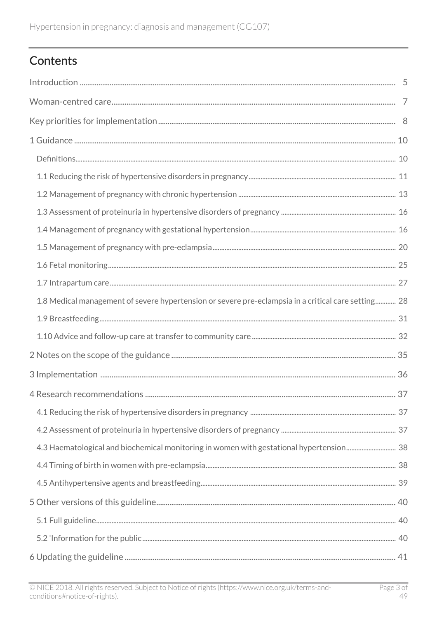# Contents

| 1.8 Medical management of severe hypertension or severe pre-eclampsia in a critical care setting 28 |  |
|-----------------------------------------------------------------------------------------------------|--|
|                                                                                                     |  |
|                                                                                                     |  |
|                                                                                                     |  |
|                                                                                                     |  |
|                                                                                                     |  |
|                                                                                                     |  |
|                                                                                                     |  |
|                                                                                                     |  |
|                                                                                                     |  |
|                                                                                                     |  |
|                                                                                                     |  |
|                                                                                                     |  |
|                                                                                                     |  |
|                                                                                                     |  |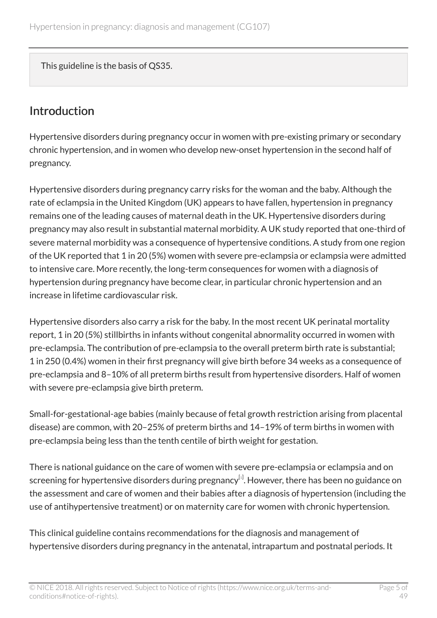This guideline is the basis of QS35.

# <span id="page-4-0"></span>Introduction

Hypertensive disorders during pregnancy occur in women with pre-existing primary or secondary chronic hypertension, and in women who develop new-onset hypertension in the second half of pregnancy.

Hypertensive disorders during pregnancy carry risks for the woman and the baby. Although the rate of eclampsia in the United Kingdom (UK) appears to have fallen, hypertension in pregnancy remains one of the leading causes of maternal death in the UK. Hypertensive disorders during pregnancy may also result in substantial maternal morbidity. A UK study reported that one-third of severe maternal morbidity was a consequence of hypertensive conditions. A study from one region of the UK reported that 1 in 20 (5%) women with severe pre-eclampsia or eclampsia were admitted to intensive care. More recently, the long-term consequences for women with a diagnosis of hypertension during pregnancy have become clear, in particular chronic hypertension and an increase in lifetime cardiovascular risk.

Hypertensive disorders also carry a risk for the baby. In the most recent UK perinatal mortality report, 1 in 20 (5%) stillbirths in infants without congenital abnormality occurred in women with pre-eclampsia. The contribution of pre-eclampsia to the overall preterm birth rate is substantial; 1 in 250 (0.4%) women in their first pregnancy will give birth before 34 weeks as a consequence of pre-eclampsia and 8–10% of all preterm births result from hypertensive disorders. Half of women with severe pre-eclampsia give birth preterm.

Small-for-gestational-age babies (mainly because of fetal growth restriction arising from placental disease) are common, with 20–25% of preterm births and 14–19% of term births in women with pre-eclampsia being less than the tenth centile of birth weight for gestation.

<span id="page-4-1"></span>There is national guidance on the care of women with severe pre-eclampsia or eclampsia and on screening for hypertensive disorders during pregnancy $^{\text{\tiny{[1]}}}$  $^{\text{\tiny{[1]}}}$  $^{\text{\tiny{[1]}}}$ . However, there has been no guidance on the assessment and care of women and their babies after a diagnosis of hypertension (including the use of antihypertensive treatment) or on maternity care for women with chronic hypertension.

This clinical guideline contains recommendations for the diagnosis and management of hypertensive disorders during pregnancy in the antenatal, intrapartum and postnatal periods. It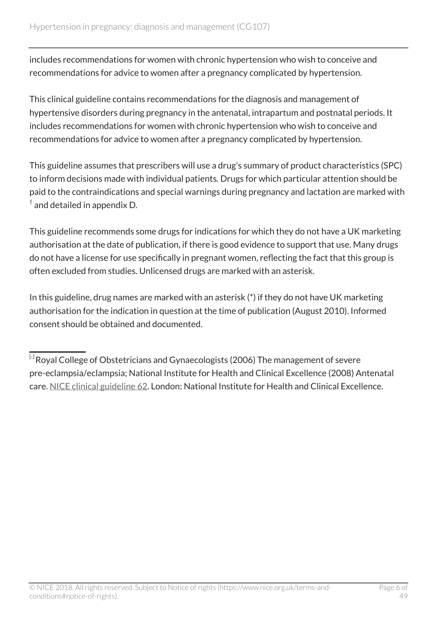includes recommendations for women with chronic hypertension who wish to conceive and recommendations for advice to women after a pregnancy complicated by hypertension.

This clinical guideline contains recommendations for the diagnosis and management of hypertensive disorders during pregnancy in the antenatal, intrapartum and postnatal periods. It includes recommendations for women with chronic hypertension who wish to conceive and recommendations for advice to women after a pregnancy complicated by hypertension.

This guideline assumes that prescribers will use a drug's summary of product characteristics (SPC) to inform decisions made with individual patients*.* Drugs for which particular attention should be paid to the contraindications and special warnings during pregnancy and lactation are marked with  $^\dagger$  and detailed in appendix D.

This guideline recommends some drugs for indications for which they do not have a UK marketing authorisation at the date of publication, if there is good evidence to support that use. Many drugs do not have a license for use specifically in pregnant women, reflecting the fact that this group is often excluded from studies. Unlicensed drugs are marked with an asterisk.

In this guideline, drug names are marked with an asterisk (\*) if they do not have UK marketing authorisation for the indication in question at the time of publication (August 2010). Informed consent should be obtained and documented.

<span id="page-5-0"></span> $^{\left[ 1 \right]}$  $^{\left[ 1 \right]}$  $^{\left[ 1 \right]}$ Royal College of Obstetricians and Gynaecologists (2006) The management of severe pre-eclampsia/eclampsia; National Institute for Health and Clinical Excellence (2008) Antenatal care. [NICE clinical guideline 62.](http://www.nice.org.uk/guidance/cg62) London: National Institute for Health and Clinical Excellence.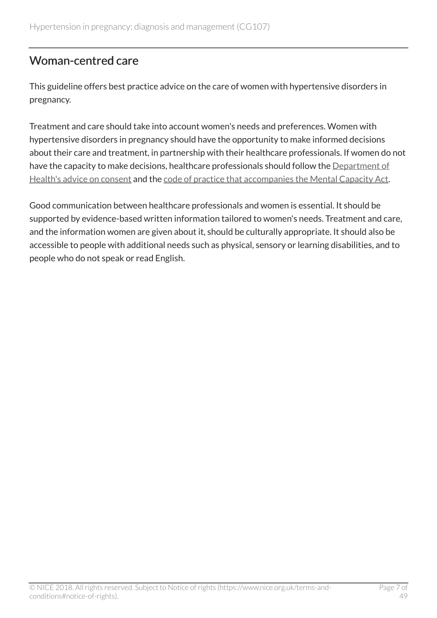# <span id="page-6-0"></span>Woman-centred care

This guideline offers best practice advice on the care of women with hypertensive disorders in pregnancy.

Treatment and care should take into account women's needs and preferences. Women with hypertensive disorders in pregnancy should have the opportunity to make informed decisions about their care and treatment, in partnership with their healthcare professionals. If women do not have the capacity to make decisions, healthcare professionals should follow the [Department of](http://www.dh.gov.uk/en/DH_103643) [Health's advice on consent](http://www.dh.gov.uk/en/DH_103643) and the [code of practice that accompanies the Mental Capacity Act.](http://www.dh.gov.uk/en/SocialCare/Deliveringsocialcare/MentalCapacity)

Good communication between healthcare professionals and women is essential. It should be supported by evidence-based written information tailored to women's needs. Treatment and care, and the information women are given about it, should be culturally appropriate. It should also be accessible to people with additional needs such as physical, sensory or learning disabilities, and to people who do not speak or read English.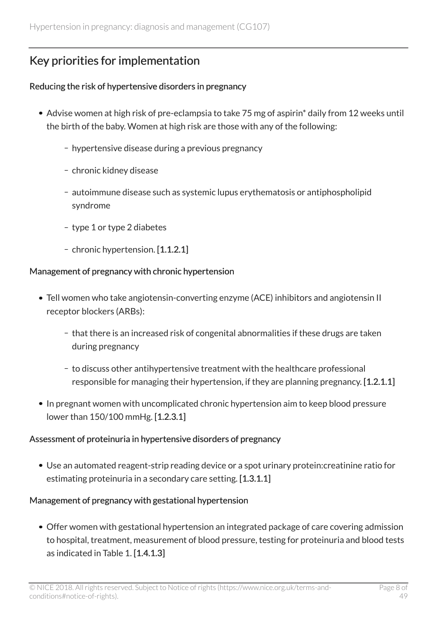# <span id="page-7-0"></span>Key priorities for implementation

#### Reducing the risk of hypertensive disorders in pregnancy

- Advise women at high risk of pre-eclampsia to take 75 mg of aspirin<sup>\*</sup> daily from 12 weeks until the birth of the baby. Women at high risk are those with any of the following:
	- hypertensive disease during a previous pregnancy
	- chronic kidney disease
	- autoimmune disease such as systemic lupus erythematosis or antiphospholipid syndrome
	- type 1 or type 2 diabetes
	- chronic hypertension. [1.1.2.1]

#### Management of pregnancy with chronic hypertension

- Tell women who take angiotensin-converting enzyme (ACE) inhibitors and angiotensin II receptor blockers (ARBs):
	- that there is an increased risk of congenital abnormalities if these drugs are taken during pregnancy
	- to discuss other antihypertensive treatment with the healthcare professional responsible for managing their hypertension, if they are planning pregnancy. [1.2.1.1]
- In pregnant women with uncomplicated chronic hypertension aim to keep blood pressure lower than 150/100 mmHg. [1.2.3.1]

#### Assessment of proteinuria in hypertensive disorders of pregnancy

Use an automated reagent-strip reading device or a spot urinary protein:creatinine ratio for estimating proteinuria in a secondary care setting. [1.3.1.1]

#### Management of pregnancy with gestational hypertension

Offer women with gestational hypertension an integrated package of care covering admission to hospital, treatment, measurement of blood pressure, testing for proteinuria and blood tests as indicated in Table 1. [1.4.1.3]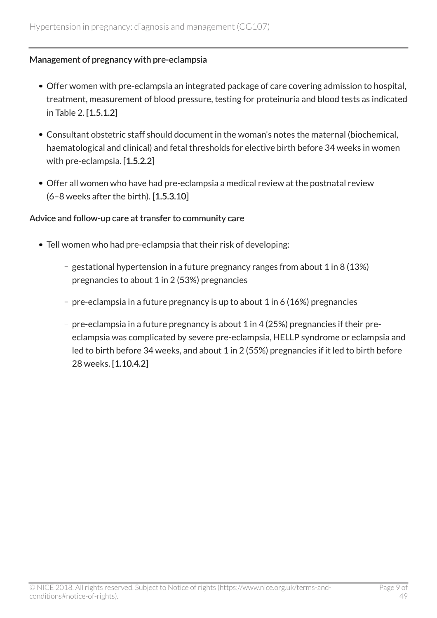#### Management of pregnancy with pre-eclampsia

- Offer women with pre-eclampsia an integrated package of care covering admission to hospital, treatment, measurement of blood pressure, testing for proteinuria and blood tests as indicated in Table 2. [1.5.1.2]
- Consultant obstetric staff should document in the woman's notes the maternal (biochemical, haematological and clinical) and fetal thresholds for elective birth before 34 weeks in women with pre-eclampsia. [1.5.2.2]
- Offer all women who have had pre-eclampsia a medical review at the postnatal review (6–8 weeks after the birth). [1.5.3.10]

#### Advice and follow-up care at transfer to community care

- Tell women who had pre-eclampsia that their risk of developing:
	- gestational hypertension in a future pregnancy ranges from about 1 in 8 (13%) pregnancies to about 1 in 2 (53%) pregnancies
	- pre-eclampsia in a future pregnancy is up to about 1 in 6 (16%) pregnancies
	- pre-eclampsia in a future pregnancy is about 1 in 4 (25%) pregnancies if their preeclampsia was complicated by severe pre-eclampsia, HELLP syndrome or eclampsia and led to birth before 34 weeks, and about 1 in 2 (55%) pregnancies if it led to birth before 28 weeks. [1.10.4.2]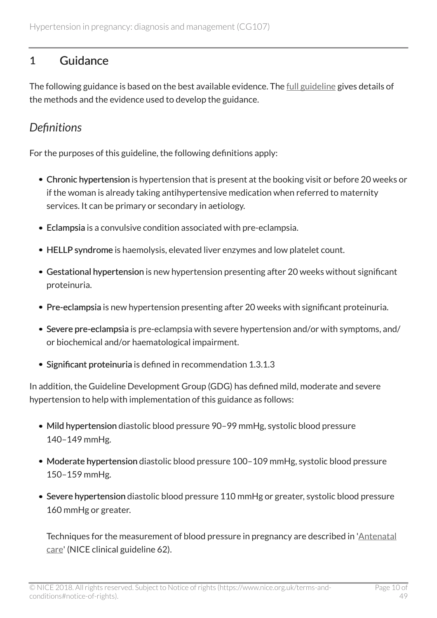# <span id="page-9-0"></span>1 Guidance

The following guidance is based on the best available evidence. The <u>[full guideline](http://www.nice.org.uk/guidance/CG107/evidence)</u> gives details of the methods and the evidence used to develop the guidance.

# <span id="page-9-1"></span>*Definitions*

For the purposes of this guideline, the following definitions apply:

- Chronic hypertension is hypertension that is present at the booking visit or before 20 weeks or if the woman is already taking antihypertensive medication when referred to maternity services. It can be primary or secondary in aetiology.
- Eclampsia is a convulsive condition associated with pre-eclampsia.
- HELLP syndrome is haemolysis, elevated liver enzymes and low platelet count.
- Gestational hypertension is new hypertension presenting after 20 weeks without significant proteinuria.
- Pre-eclampsia is new hypertension presenting after 20 weeks with significant proteinuria.
- Severe pre-eclampsia is pre-eclampsia with severe hypertension and/or with symptoms, and/ or biochemical and/or haematological impairment.
- Significant proteinuria is defined in recommendation 1.3.1.3

In addition, the Guideline Development Group (GDG) has defined mild, moderate and severe hypertension to help with implementation of this guidance as follows:

- Mild hypertension diastolic blood pressure 90-99 mmHg, systolic blood pressure 140–149 mmHg.
- Moderate hypertension diastolic blood pressure 100–109 mmHg, systolic blood pressure 150–159 mmHg.
- Severe hypertension diastolic blood pressure 110 mmHg or greater, systolic blood pressure 160 mmHg or greater.

Techniques for the measurement of blood pressure in pregnancy are described in '[Antenatal](http://www.nice.org.uk/guidance/cg62) [care](http://www.nice.org.uk/guidance/cg62)' (NICE clinical guideline 62).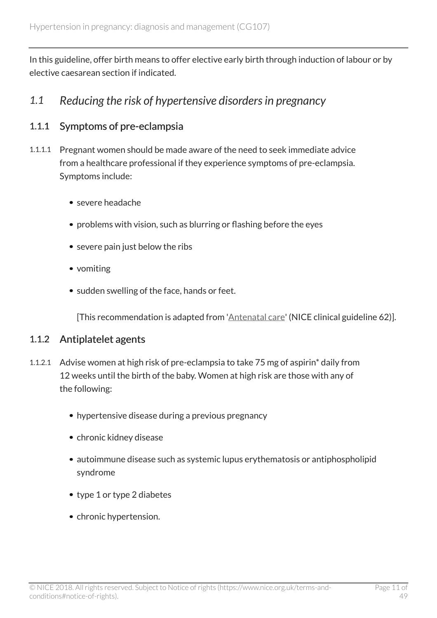In this guideline, offer birth means to offer elective early birth through induction of labour or by elective caesarean section if indicated.

# <span id="page-10-0"></span>*1.1 Reducing the risk of hypertensive disorders in pregnancy*

### 1.1.1 Symptoms of pre-eclampsia

- 1.1.1.1 Pregnant women should be made aware of the need to seek immediate advice from a healthcare professional if they experience symptoms of pre-eclampsia. Symptoms include:
	- severe headache
	- problems with vision, such as blurring or flashing before the eyes
	- severe pain just below the ribs
	- vomiting
	- sudden swelling of the face, hands or feet.

[This recommendation is adapted from '[Antenatal care](http://www.nice.org.uk/guidance/cg62)' (NICE clinical guideline 62)].

#### 1.1.2 Antiplatelet agents

- 1.1.2.1 Advise women at high risk of pre-eclampsia to take 75 mg of aspirin\* daily from 12 weeks until the birth of the baby. Women at high risk are those with any of the following:
	- hypertensive disease during a previous pregnancy
	- chronic kidney disease
	- autoimmune disease such as systemic lupus erythematosis or antiphospholipid syndrome
	- type 1 or type 2 diabetes
	- chronic hypertension.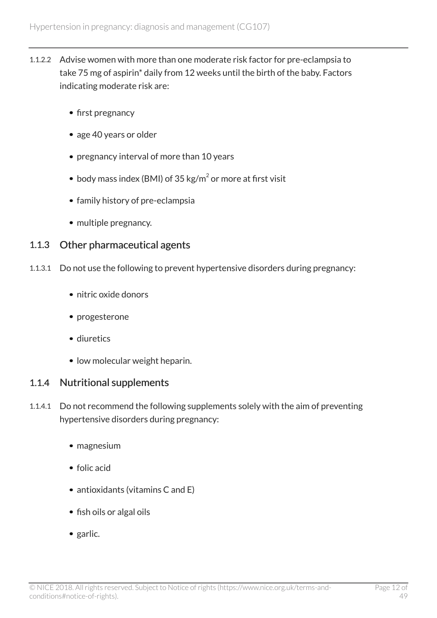- 1.1.2.2 Advise women with more than one moderate risk factor for pre-eclampsia to take 75 mg of aspirin\* daily from 12 weeks until the birth of the baby. Factors indicating moderate risk are:
	- first pregnancy
	- age 40 years or older
	- pregnancy interval of more than 10 years
	- body mass index (BMI) of 35 kg/m $^2$  or more at first visit
	- family history of pre-eclampsia
	- multiple pregnancy.

### 1.1.3 Other pharmaceutical agents

- 1.1.3.1 Do not use the following to prevent hypertensive disorders during pregnancy:
	- nitric oxide donors
	- progesterone
	- diuretics
	- low molecular weight heparin.

#### 1.1.4 Nutritional supplements

- 1.1.4.1 Do not recommend the following supplements solely with the aim of preventing hypertensive disorders during pregnancy:
	- magnesium
	- folic acid
	- antioxidants (vitamins C and E)
	- fish oils or algal oils
	- garlic.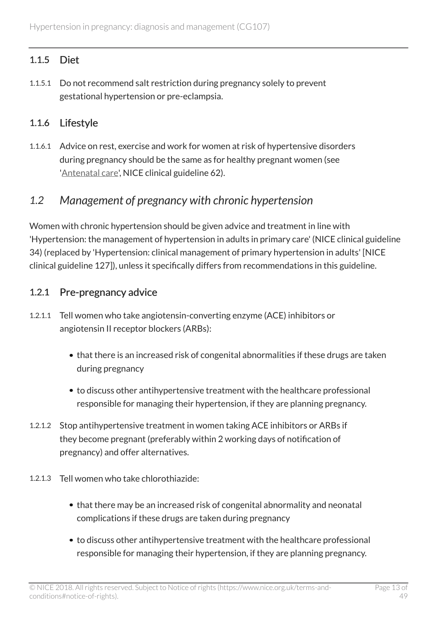# 1.1.5 Diet

1.1.5.1 Do not recommend salt restriction during pregnancy solely to prevent gestational hypertension or pre-eclampsia.

### 1.1.6 Lifestyle

1.1.6.1 Advice on rest, exercise and work for women at risk of hypertensive disorders during pregnancy should be the same as for healthy pregnant women (see '[Antenatal care](http://www.nice.org.uk/guidance/cg62)', NICE clinical guideline 62).

# <span id="page-12-0"></span>*1.2 Management of pregnancy with chronic hypertension*

Women with chronic hypertension should be given advice and treatment in line with 'Hypertension: the management of hypertension in adults in primary care' (NICE clinical guideline 34) (replaced by 'Hypertension: clinical management of primary hypertension in adults' [NICE clinical guideline 127]), unless it specifically differs from recommendations in this guideline.

### 1.2.1 Pre-pregnancy advice

- 1.2.1.1 Tell women who take angiotensin-converting enzyme (ACE) inhibitors or angiotensin II receptor blockers (ARBs):
	- that there is an increased risk of congenital abnormalities if these drugs are taken during pregnancy
	- to discuss other antihypertensive treatment with the healthcare professional responsible for managing their hypertension, if they are planning pregnancy.
- 1.2.1.2 Stop antihypertensive treatment in women taking ACE inhibitors or ARBs if they become pregnant (preferably within 2 working days of notification of pregnancy) and offer alternatives.
- 1.2.1.3 Tell women who take chlorothiazide:
	- that there may be an increased risk of congenital abnormality and neonatal complications if these drugs are taken during pregnancy
	- to discuss other antihypertensive treatment with the healthcare professional responsible for managing their hypertension, if they are planning pregnancy.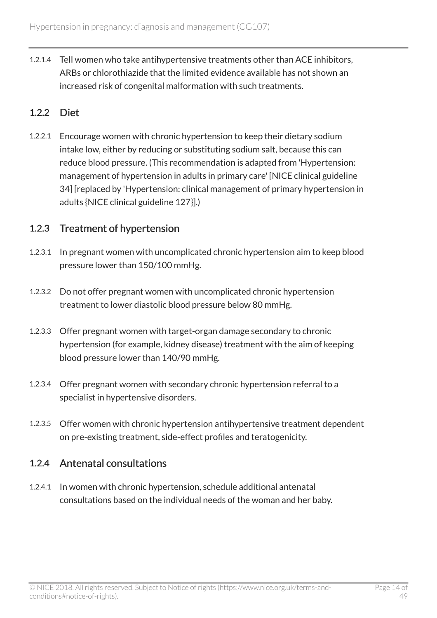1.2.1.4 Tell women who take antihypertensive treatments other than ACE inhibitors, ARBs or chlorothiazide that the limited evidence available has not shown an increased risk of congenital malformation with such treatments.

### 1.2.2 Diet

1.2.2.1 Encourage women with chronic hypertension to keep their dietary sodium intake low, either by reducing or substituting sodium salt, because this can reduce blood pressure. (This recommendation is adapted from 'Hypertension: management of hypertension in adults in primary care' [NICE clinical guideline 34] [replaced by 'Hypertension: clinical management of primary hypertension in adults {NICE clinical guideline 127}].)

### 1.2.3 Treatment of hypertension

- 1.2.3.1 In pregnant women with uncomplicated chronic hypertension aim to keep blood pressure lower than 150/100 mmHg.
- 1.2.3.2 Do not offer pregnant women with uncomplicated chronic hypertension treatment to lower diastolic blood pressure below 80 mmHg.
- 1.2.3.3 Offer pregnant women with target-organ damage secondary to chronic hypertension (for example, kidney disease) treatment with the aim of keeping blood pressure lower than 140/90 mmHg.
- 1.2.3.4 Offer pregnant women with secondary chronic hypertension referral to a specialist in hypertensive disorders.
- 1.2.3.5 Offer women with chronic hypertension antihypertensive treatment dependent on pre-existing treatment, side-effect profiles and teratogenicity.

### 1.2.4 Antenatal consultations

1.2.4.1 In women with chronic hypertension, schedule additional antenatal consultations based on the individual needs of the woman and her baby.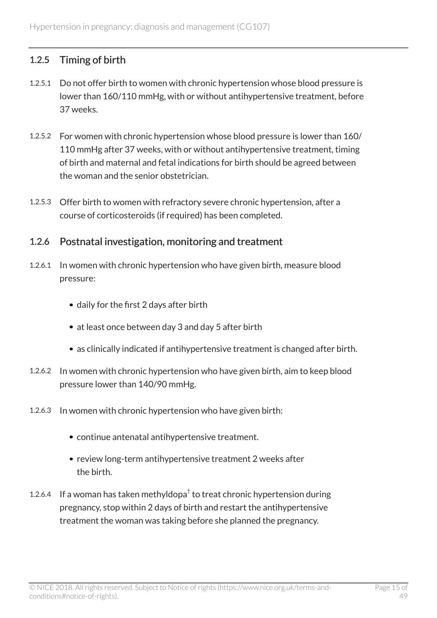# 1.2.5 Timing of birth

- 1.2.5.1 Do not offer birth to women with chronic hypertension whose blood pressure is lower than 160/110 mmHg, with or without antihypertensive treatment, before 37 weeks.
- 1.2.5.2 For women with chronic hypertension whose blood pressure is lower than 160/ 110 mmHg after 37 weeks, with or without antihypertensive treatment, timing of birth and maternal and fetal indications for birth should be agreed between the woman and the senior obstetrician.
- 1.2.5.3 Offer birth to women with refractory severe chronic hypertension, after a course of corticosteroids (if required) has been completed.

### 1.2.6 Postnatal investigation, monitoring and treatment

- 1.2.6.1 In women with chronic hypertension who have given birth, measure blood pressure:
	- daily for the first 2 days after birth
	- at least once between day 3 and day 5 after birth
	- as clinically indicated if antihypertensive treatment is changed after birth.
- 1.2.6.2 In women with chronic hypertension who have given birth, aim to keep blood pressure lower than 140/90 mmHg.
- 1.2.6.3 In women with chronic hypertension who have given birth:
	- continue antenatal antihypertensive treatment.
	- review long-term antihypertensive treatment 2 weeks after the birth.
- 1.2.6.4 If a woman has taken methyldopa $^{\dagger}$  to treat chronic hypertension during pregnancy, stop within 2 days of birth and restart the antihypertensive treatment the woman was taking before she planned the pregnancy.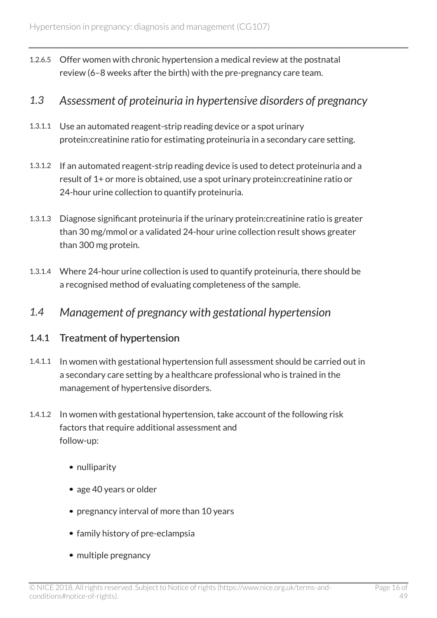1.2.6.5 Offer women with chronic hypertension a medical review at the postnatal review (6–8 weeks after the birth) with the pre-pregnancy care team.

# <span id="page-15-0"></span>*1.3 Assessment of proteinuria in hypertensive disorders of pregnancy*

- 1.3.1.1 Use an automated reagent-strip reading device or a spot urinary protein:creatinine ratio for estimating proteinuria in a secondary care setting.
- 1.3.1.2 If an automated reagent-strip reading device is used to detect proteinuria and a result of 1+ or more is obtained, use a spot urinary protein:creatinine ratio or 24-hour urine collection to quantify proteinuria.
- 1.3.1.3 Diagnose significant proteinuria if the urinary protein:creatinine ratio is greater than 30 mg/mmol or a validated 24-hour urine collection result shows greater than 300 mg protein.
- 1.3.1.4 Where 24-hour urine collection is used to quantify proteinuria, there should be a recognised method of evaluating completeness of the sample.
- <span id="page-15-1"></span>*1.4 Management of pregnancy with gestational hypertension*

### 1.4.1 Treatment of hypertension

- 1.4.1.1 In women with gestational hypertension full assessment should be carried out in a secondary care setting by a healthcare professional who is trained in the management of hypertensive disorders.
- 1.4.1.2 In women with gestational hypertension, take account of the following risk factors that require additional assessment and follow-up:
	- nulliparity
	- age 40 years or older
	- pregnancy interval of more than 10 years
	- family history of pre-eclampsia
	- multiple pregnancy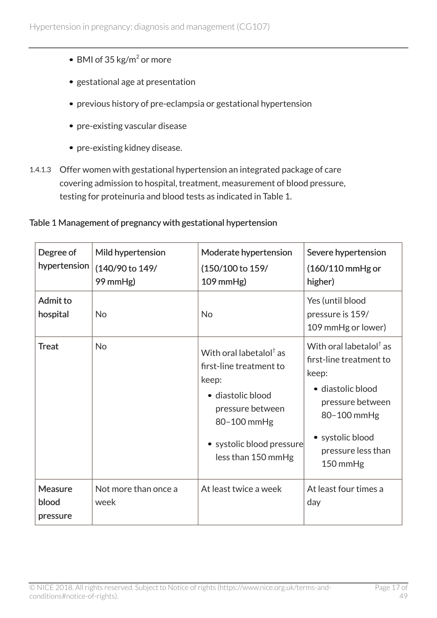- BMI of 35  $\text{kg/m}^2$  or more
- gestational age at presentation
- previous history of pre-eclampsia or gestational hypertension
- pre-existing vascular disease
- pre-existing kidney disease.
- 1.4.1.3 Offer women with gestational hypertension an integrated package of care covering admission to hospital, treatment, measurement of blood pressure, testing for proteinuria and blood tests as indicated in Table 1.

#### Table 1 Management of pregnancy with gestational hypertension

| Degree of<br>hypertension    | Mild hypertension<br>(140/90 to 149/<br>99 mmHg) | Moderate hypertension<br>(150/100 to 159/<br>$109$ mmHg)                                                                                                                           | Severe hypertension<br>$(160/110$ mmHg or<br>higher)                                                                                                                                    |
|------------------------------|--------------------------------------------------|------------------------------------------------------------------------------------------------------------------------------------------------------------------------------------|-----------------------------------------------------------------------------------------------------------------------------------------------------------------------------------------|
| Admit to<br>hospital         | <b>No</b>                                        | <b>No</b>                                                                                                                                                                          | Yes (until blood<br>pressure is 159/<br>109 mmHg or lower)                                                                                                                              |
| <b>Treat</b>                 | <b>No</b>                                        | With oral labetalol $^{\dagger}$ as<br>first-line treatment to<br>keep:<br>· diastolic blood<br>pressure between<br>80-100 mmHg<br>• systolic blood pressure<br>less than 150 mmHg | With oral labetalol $^{\dagger}$ as<br>first-line treatment to<br>keep:<br>· diastolic blood<br>pressure between<br>80-100 mmHg<br>• systolic blood<br>pressure less than<br>$150$ mmHg |
| Measure<br>blood<br>pressure | Not more than once a<br>week                     | At least twice a week                                                                                                                                                              | At least four times a<br>day                                                                                                                                                            |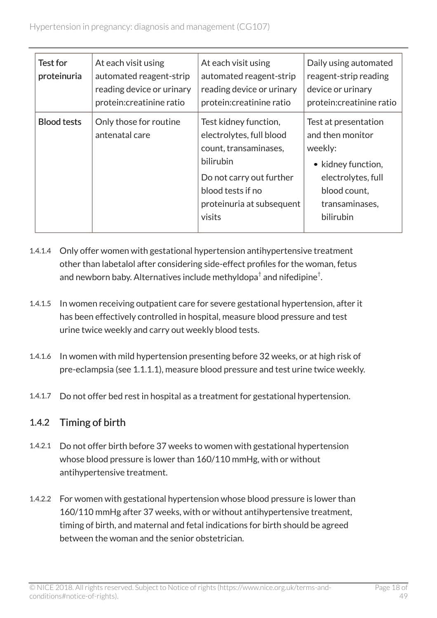| Test for<br>proteinuria | At each visit using<br>automated reagent-strip<br>reading device or urinary<br>protein: creatinine ratio | At each visit using<br>automated reagent-strip<br>reading device or urinary<br>protein: creatinine ratio                                                                        | Daily using automated<br>reagent-strip reading<br>device or urinary<br>protein: creatinine ratio                                               |
|-------------------------|----------------------------------------------------------------------------------------------------------|---------------------------------------------------------------------------------------------------------------------------------------------------------------------------------|------------------------------------------------------------------------------------------------------------------------------------------------|
| <b>Blood tests</b>      | Only those for routine<br>antenatal care                                                                 | Test kidney function,<br>electrolytes, full blood<br>count, transaminases,<br>bilirubin<br>Do not carry out further<br>blood tests if no<br>proteinuria at subsequent<br>visits | Test at presentation<br>and then monitor<br>weekly:<br>• kidney function,<br>electrolytes, full<br>blood count,<br>transaminases,<br>bilirubin |

- 1.4.1.4 Only offer women with gestational hypertension antihypertensive treatment other than labetalol after considering side-effect profiles for the woman, fetus and newborn baby. Alternatives include methyldopa $^\dagger$  and nifedipine $^\dagger.$
- 1.4.1.5 In women receiving outpatient care for severe gestational hypertension, after it has been effectively controlled in hospital, measure blood pressure and test urine twice weekly and carry out weekly blood tests.
- 1.4.1.6 In women with mild hypertension presenting before 32 weeks, or at high risk of pre-eclampsia (see 1.1.1.1), measure blood pressure and test urine twice weekly.
- 1.4.1.7 Do not offer bed rest in hospital as a treatment for gestational hypertension.

# 1.4.2 Timing of birth

- 1.4.2.1 Do not offer birth before 37 weeks to women with gestational hypertension whose blood pressure is lower than 160/110 mmHg, with or without antihypertensive treatment.
- 1.4.2.2 For women with gestational hypertension whose blood pressure is lower than 160/110 mmHg after 37 weeks, with or without antihypertensive treatment, timing of birth, and maternal and fetal indications for birth should be agreed between the woman and the senior obstetrician.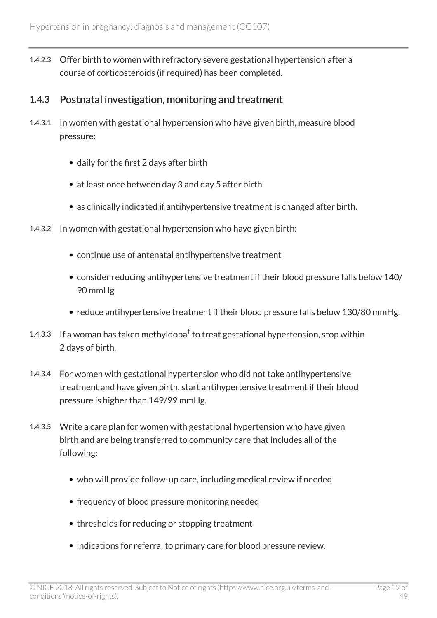1.4.2.3 Offer birth to women with refractory severe gestational hypertension after a course of corticosteroids (if required) has been completed.

### 1.4.3 Postnatal investigation, monitoring and treatment

- 1.4.3.1 In women with gestational hypertension who have given birth, measure blood pressure:
	- daily for the first 2 days after birth
	- at least once between day 3 and day 5 after birth
	- as clinically indicated if antihypertensive treatment is changed after birth.
- 1.4.3.2 In women with gestational hypertension who have given birth:
	- continue use of antenatal antihypertensive treatment
	- consider reducing antihypertensive treatment if their blood pressure falls below 140/ 90 mmHg
	- reduce antihypertensive treatment if their blood pressure falls below 130/80 mmHg.
- 1.4.3.3 If a woman has taken methyldopa $^\dagger$  to treat gestational hypertension, stop within 2 days of birth.
- 1.4.3.4 For women with gestational hypertension who did not take antihypertensive treatment and have given birth, start antihypertensive treatment if their blood pressure is higher than 149/99 mmHg.
- 1.4.3.5 Write a care plan for women with gestational hypertension who have given birth and are being transferred to community care that includes all of the following:
	- who will provide follow-up care, including medical review if needed
	- frequency of blood pressure monitoring needed
	- thresholds for reducing or stopping treatment
	- indications for referral to primary care for blood pressure review.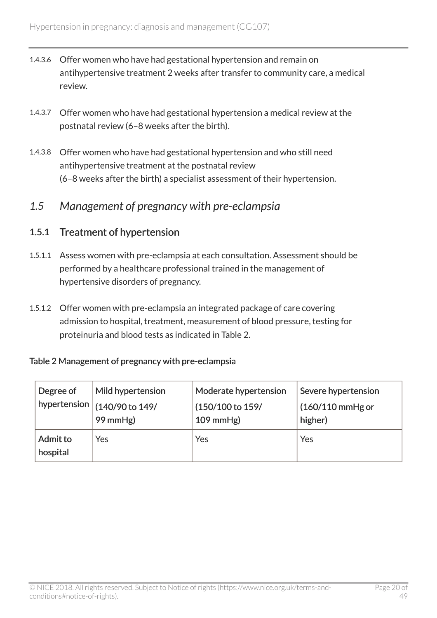- 1.4.3.6 Offer women who have had gestational hypertension and remain on antihypertensive treatment 2 weeks after transfer to community care, a medical review.
- 1.4.3.7 Offer women who have had gestational hypertension a medical review at the postnatal review (6–8 weeks after the birth).
- 1.4.3.8 Offer women who have had gestational hypertension and who still need antihypertensive treatment at the postnatal review (6–8 weeks after the birth) a specialist assessment of their hypertension.

### <span id="page-19-0"></span>*1.5 Management of pregnancy with pre-eclampsia*

### 1.5.1 Treatment of hypertension

- 1.5.1.1 Assess women with pre-eclampsia at each consultation. Assessment should be performed by a healthcare professional trained in the management of hypertensive disorders of pregnancy.
- 1.5.1.2 Offer women with pre-eclampsia an integrated package of care covering admission to hospital, treatment, measurement of blood pressure, testing for proteinuria and blood tests as indicated in Table 2.

#### Table 2 Management of pregnancy with pre-eclampsia

| Degree of            | Mild hypertension                                     | Moderate hypertension | Severe hypertension |
|----------------------|-------------------------------------------------------|-----------------------|---------------------|
|                      | $\frac{1}{1}$ hypertension $\frac{1}{140/90}$ to 149/ | (150/100 to 159/      | $(160/110$ mmHg or  |
|                      | 99 mmHg)                                              | $109$ mmHg)           | higher)             |
| Admit to<br>hospital | Yes                                                   | Yes                   | Yes                 |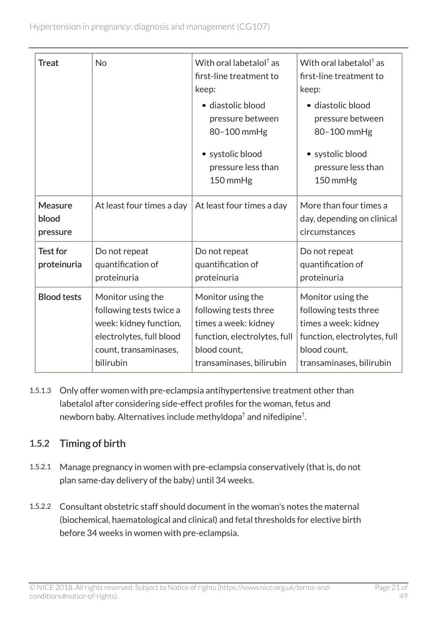| <b>Treat</b>                        | <b>No</b>                                                                                                                                | With oral labetalol <sup>†</sup> as<br>first-line treatment to<br>keep:<br>· diastolic blood<br>pressure between<br>80-100 mmHg<br>• systolic blood<br>pressure less than<br>150 mmHg | With oral labetalol $†$ as<br>first-line treatment to<br>keep:<br>· diastolic blood<br>pressure between<br>80-100 mmHg<br>• systolic blood<br>pressure less than<br>150 mmHg |
|-------------------------------------|------------------------------------------------------------------------------------------------------------------------------------------|---------------------------------------------------------------------------------------------------------------------------------------------------------------------------------------|------------------------------------------------------------------------------------------------------------------------------------------------------------------------------|
| <b>Measure</b><br>blood<br>pressure | At least four times a day                                                                                                                | At least four times a day                                                                                                                                                             | More than four times a<br>day, depending on clinical<br>circumstances                                                                                                        |
| <b>Test for</b><br>proteinuria      | Do not repeat<br>quantification of<br>proteinuria                                                                                        | Do not repeat<br>quantification of<br>proteinuria                                                                                                                                     | Do not repeat<br>quantification of<br>proteinuria                                                                                                                            |
| <b>Blood tests</b>                  | Monitor using the<br>following tests twice a<br>week: kidney function,<br>electrolytes, full blood<br>count, transaminases,<br>bilirubin | Monitor using the<br>following tests three<br>times a week: kidney<br>function, electrolytes, full<br>blood count,<br>transaminases, bilirubin                                        | Monitor using the<br>following tests three<br>times a week: kidney<br>function, electrolytes, full<br>blood count,<br>transaminases, bilirubin                               |

1.5.1.3 Only offer women with pre-eclampsia antihypertensive treatment other than labetalol after considering side-effect profiles for the woman, fetus and newborn baby. Alternatives include methyldopa $^\dagger$  and nifedipine $^\dagger.$ 

# 1.5.2 Timing of birth

- 1.5.2.1 Manage pregnancy in women with pre-eclampsia conservatively (that is, do not plan same-day delivery of the baby) until 34 weeks.
- 1.5.2.2 Consultant obstetric staff should document in the woman's notes the maternal (biochemical, haematological and clinical) and fetal thresholds for elective birth before 34 weeks in women with pre-eclampsia.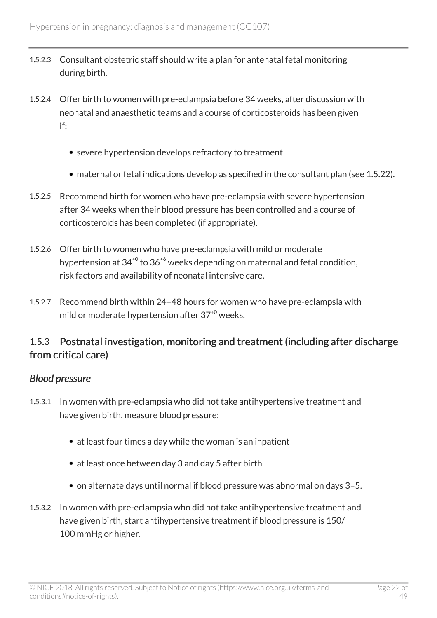- 1.5.2.3 Consultant obstetric staff should write a plan for antenatal fetal monitoring during birth.
- 1.5.2.4 Offer birth to women with pre-eclampsia before 34 weeks, after discussion with neonatal and anaesthetic teams and a course of corticosteroids has been given if:
	- severe hypertension develops refractory to treatment
	- maternal or fetal indications develop as specified in the consultant plan (see 1.5.22).
- 1.5.2.5 Recommend birth for women who have pre-eclampsia with severe hypertension after 34 weeks when their blood pressure has been controlled and a course of corticosteroids has been completed (if appropriate).
- 1.5.2.6 Offer birth to women who have pre-eclampsia with mild or moderate hypertension at  $34^{+0}$  to  $36^{+6}$  weeks depending on maternal and fetal condition. risk factors and availability of neonatal intensive care.
- 1.5.2.7 Recommend birth within 24–48 hours for women who have pre-eclampsia with mild or moderate hypertension after  $37<sup>+0</sup>$  weeks.

### 1.5.3 Postnatal investigation, monitoring and treatment (including after discharge from critical care)

#### *Blood pressure*

- 1.5.3.1 In women with pre-eclampsia who did not take antihypertensive treatment and have given birth, measure blood pressure:
	- at least four times a day while the woman is an inpatient
	- at least once between day 3 and day 5 after birth
	- on alternate days until normal if blood pressure was abnormal on days 3–5.
- 1.5.3.2 In women with pre-eclampsia who did not take antihypertensive treatment and have given birth, start antihypertensive treatment if blood pressure is 150/ 100 mmHg or higher.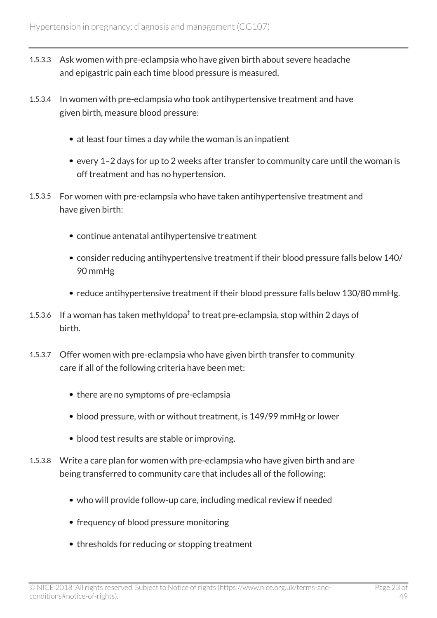- 1.5.3.3 Ask women with pre-eclampsia who have given birth about severe headache and epigastric pain each time blood pressure is measured.
- 1.5.3.4 In women with pre-eclampsia who took antihypertensive treatment and have given birth, measure blood pressure:
	- at least four times a day while the woman is an inpatient
	- every 1–2 days for up to 2 weeks after transfer to community care until the woman is off treatment and has no hypertension.
- 1.5.3.5 For women with pre-eclampsia who have taken antihypertensive treatment and have given birth:
	- continue antenatal antihypertensive treatment
	- consider reducing antihypertensive treatment if their blood pressure falls below 140/ 90 mmHg
	- reduce antihypertensive treatment if their blood pressure falls below 130/80 mmHg.
- 1.5.3.6 If a woman has taken methyldopa $^\dagger$  to treat pre-eclampsia, stop within 2 days of birth.
- 1.5.3.7 Offer women with pre-eclampsia who have given birth transfer to community care if all of the following criteria have been met:
	- there are no symptoms of pre-eclampsia
	- blood pressure, with or without treatment, is 149/99 mmHg or lower
	- blood test results are stable or improving.
- 1.5.3.8 Write a care plan for women with pre-eclampsia who have given birth and are being transferred to community care that includes all of the following:
	- who will provide follow-up care, including medical review if needed
	- frequency of blood pressure monitoring
	- thresholds for reducing or stopping treatment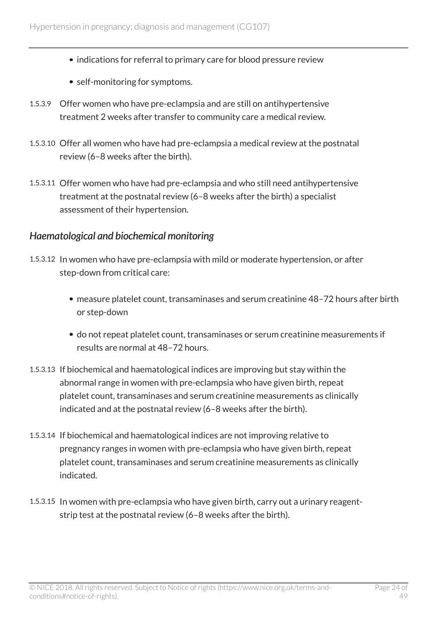- indications for referral to primary care for blood pressure review
- self-monitoring for symptoms.
- 1.5.3.9 Offer women who have pre-eclampsia and are still on antihypertensive treatment 2 weeks after transfer to community care a medical review.
- 1.5.3.10 Offer all women who have had pre-eclampsia a medical review at the postnatal review (6–8 weeks after the birth).
- 1.5.3.11 Offer women who have had pre-eclampsia and who still need antihypertensive treatment at the postnatal review (6–8 weeks after the birth) a specialist assessment of their hypertension.

#### *Haematological and biochemical monitoring*

- 1.5.3.12 In women who have pre-eclampsia with mild or moderate hypertension, or after step-down from critical care:
	- measure platelet count, transaminases and serum creatinine 48–72 hours after birth or step-down
	- do not repeat platelet count, transaminases or serum creatinine measurements if results are normal at 48–72 hours.
- 1.5.3.13 If biochemical and haematological indices are improving but stay within the abnormal range in women with pre-eclampsia who have given birth, repeat platelet count, transaminases and serum creatinine measurements as clinically indicated and at the postnatal review (6–8 weeks after the birth).
- 1.5.3.14 If biochemical and haematological indices are not improving relative to pregnancy ranges in women with pre-eclampsia who have given birth, repeat platelet count, transaminases and serum creatinine measurements as clinically indicated.
- 1.5.3.15 In women with pre-eclampsia who have given birth, carry out a urinary reagentstrip test at the postnatal review (6–8 weeks after the birth).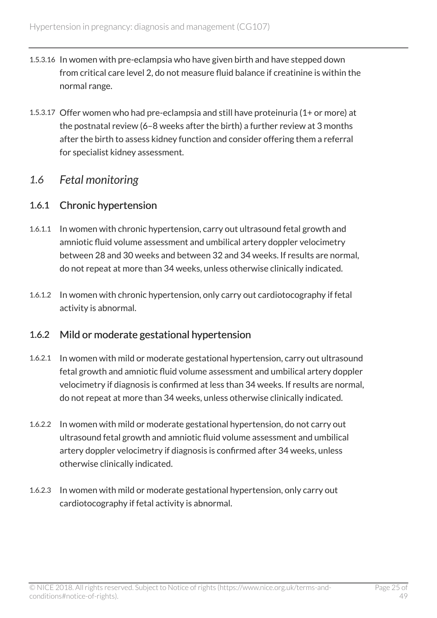- 1.5.3.16 In women with pre-eclampsia who have given birth and have stepped down from critical care level 2, do not measure fluid balance if creatinine is within the normal range.
- 1.5.3.17 Offer women who had pre-eclampsia and still have proteinuria (1+ or more) at the postnatal review (6–8 weeks after the birth) a further review at 3 months after the birth to assess kidney function and consider offering them a referral for specialist kidney assessment.

# <span id="page-24-0"></span>*1.6 Fetal monitoring*

### 1.6.1 Chronic hypertension

- 1.6.1.1 In women with chronic hypertension, carry out ultrasound fetal growth and amniotic fluid volume assessment and umbilical artery doppler velocimetry between 28 and 30 weeks and between 32 and 34 weeks. If results are normal, do not repeat at more than 34 weeks, unless otherwise clinically indicated.
- 1.6.1.2 In women with chronic hypertension, only carry out cardiotocography if fetal activity is abnormal.

### 1.6.2 Mild or moderate gestational hypertension

- 1.6.2.1 In women with mild or moderate gestational hypertension, carry out ultrasound fetal growth and amniotic fluid volume assessment and umbilical artery doppler velocimetry if diagnosis is confirmed at less than 34 weeks. If results are normal, do not repeat at more than 34 weeks, unless otherwise clinically indicated.
- 1.6.2.2 In women with mild or moderate gestational hypertension, do not carry out ultrasound fetal growth and amniotic fluid volume assessment and umbilical artery doppler velocimetry if diagnosis is confirmed after 34 weeks, unless otherwise clinically indicated.
- 1.6.2.3 In women with mild or moderate gestational hypertension, only carry out cardiotocography if fetal activity is abnormal.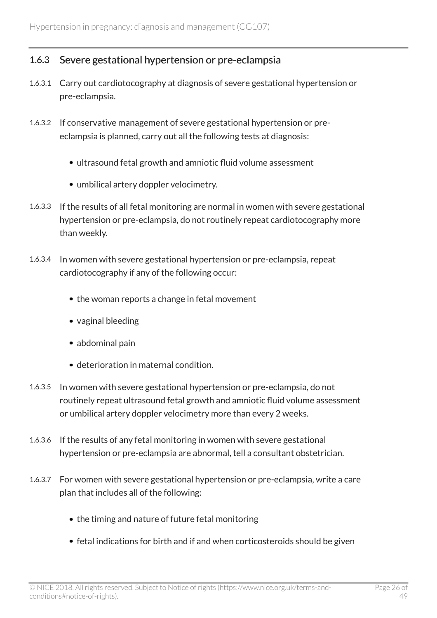### 1.6.3 Severe gestational hypertension or pre-eclampsia

- 1.6.3.1 Carry out cardiotocography at diagnosis of severe gestational hypertension or pre-eclampsia.
- 1.6.3.2 If conservative management of severe gestational hypertension or preeclampsia is planned, carry out all the following tests at diagnosis:
	- ultrasound fetal growth and amniotic fluid volume assessment
	- umbilical artery doppler velocimetry.
- 1.6.3.3 If the results of all fetal monitoring are normal in women with severe gestational hypertension or pre-eclampsia, do not routinely repeat cardiotocography more than weekly.
- 1.6.3.4 In women with severe gestational hypertension or pre-eclampsia, repeat cardiotocography if any of the following occur:
	- the woman reports a change in fetal movement
	- vaginal bleeding
	- abdominal pain
	- deterioration in maternal condition.
- 1.6.3.5 In women with severe gestational hypertension or pre-eclampsia, do not routinely repeat ultrasound fetal growth and amniotic fluid volume assessment or umbilical artery doppler velocimetry more than every 2 weeks.
- 1.6.3.6 If the results of any fetal monitoring in women with severe gestational hypertension or pre-eclampsia are abnormal, tell a consultant obstetrician.
- 1.6.3.7 For women with severe gestational hypertension or pre-eclampsia, write a care plan that includes all of the following:
	- the timing and nature of future fetal monitoring
	- fetal indications for birth and if and when corticosteroids should be given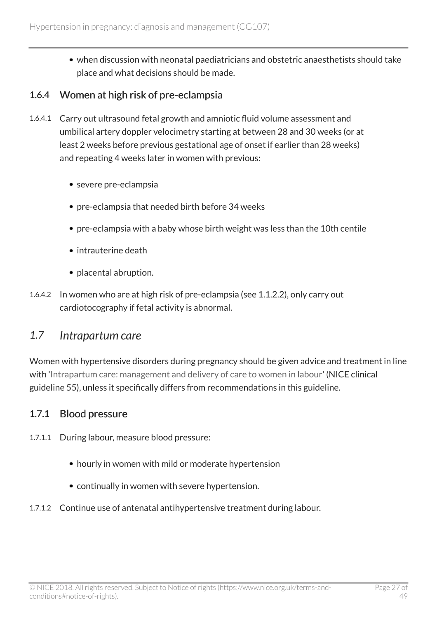when discussion with neonatal paediatricians and obstetric anaesthetists should take place and what decisions should be made.

### 1.6.4 Women at high risk of pre-eclampsia

- 1.6.4.1 Carry out ultrasound fetal growth and amniotic fluid volume assessment and umbilical artery doppler velocimetry starting at between 28 and 30 weeks (or at least 2 weeks before previous gestational age of onset if earlier than 28 weeks) and repeating 4 weeks later in women with previous:
	- severe pre-eclampsia
	- pre-eclampsia that needed birth before 34 weeks
	- pre-eclampsia with a baby whose birth weight was less than the 10th centile
	- intrauterine death
	- placental abruption.
- 1.6.4.2 In women who are at high risk of pre-eclampsia (see 1.1.2.2), only carry out cardiotocography if fetal activity is abnormal.

# <span id="page-26-0"></span>*1.7 Intrapartum care*

Women with hypertensive disorders during pregnancy should be given advice and treatment in line with '[Intrapartum care: management and delivery of care to women in labour](http://www.nice.org.uk/guidance/cg55)' (NICE clinical guideline 55), unless it specifically differs from recommendations in this guideline.

### 1.7.1 Blood pressure

- 1.7.1.1 During labour, measure blood pressure:
	- hourly in women with mild or moderate hypertension
	- continually in women with severe hypertension.
- 1.7.1.2 Continue use of antenatal antihypertensive treatment during labour.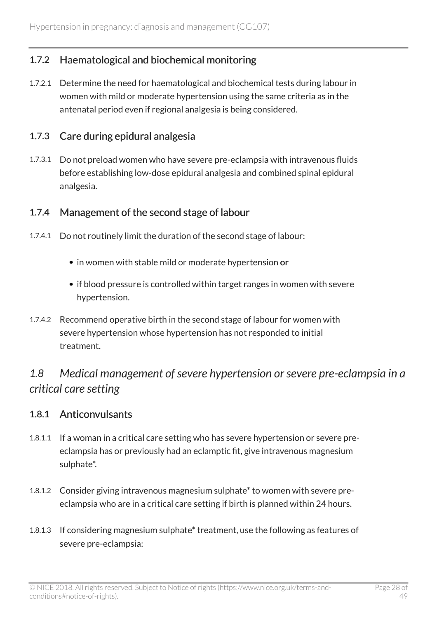### 1.7.2 Haematological and biochemical monitoring

1.7.2.1 Determine the need for haematological and biochemical tests during labour in women with mild or moderate hypertension using the same criteria as in the antenatal period even if regional analgesia is being considered.

### 1.7.3 Care during epidural analgesia

1.7.3.1 Do not preload women who have severe pre-eclampsia with intravenous fluids before establishing low-dose epidural analgesia and combined spinal epidural analgesia.

### 1.7.4 Management of the second stage of labour

- 1.7.4.1 Do not routinely limit the duration of the second stage of labour:
	- in women with stable mild or moderate hypertension or
	- if blood pressure is controlled within target ranges in women with severe hypertension.
- 1.7.4.2 Recommend operative birth in the second stage of labour for women with severe hypertension whose hypertension has not responded to initial treatment.

# <span id="page-27-0"></span>*1.8 Medical management of severe hypertension or severe pre-eclampsia in a critical care setting*

#### 1.8.1 Anticonvulsants

- 1.8.1.1 If a woman in a critical care setting who has severe hypertension or severe preeclampsia has or previously had an eclamptic fit, give intravenous magnesium sulphate\*.
- 1.8.1.2 Consider giving intravenous magnesium sulphate\* to women with severe preeclampsia who are in a critical care setting if birth is planned within 24 hours.
- 1.8.1.3 If considering magnesium sulphate\* treatment, use the following as features of severe pre-eclampsia: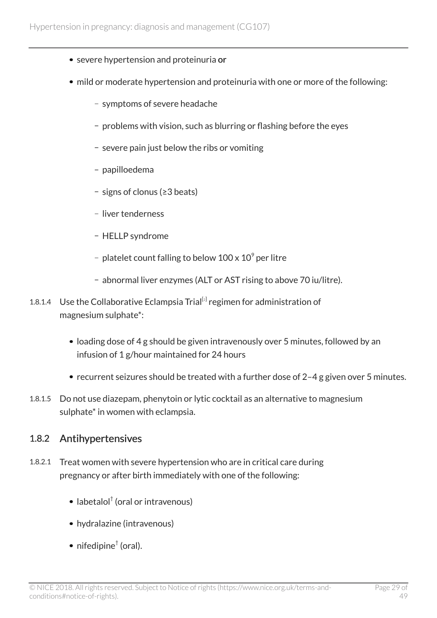- severe hypertension and proteinuria or
- mild or moderate hypertension and proteinuria with one or more of the following:
	- symptoms of severe headache
	- problems with vision, such as blurring or flashing before the eyes
	- severe pain just below the ribs or vomiting
	- papilloedema
	- signs of clonus (≥3 beats)
	- liver tenderness
	- HELLP syndrome
	- platelet count falling to below 100 x 10 $^{\circ}$  per litre
	- abnormal liver enzymes (ALT or AST rising to above 70 iu/litre).
- <span id="page-28-0"></span>1.8.1.4 Use the Collaborative Eclampsia Trial<sup>[[2](#page-33-0)]</sup> regimen for administration of magnesium sulphate\*:
	- loading dose of 4 g should be given intravenously over 5 minutes, followed by an infusion of 1 g/hour maintained for 24 hours
	- recurrent seizures should be treated with a further dose of 2-4 g given over 5 minutes.
- 1.8.1.5 Do not use diazepam, phenytoin or lytic cocktail as an alternative to magnesium sulphate\* in women with eclampsia.

#### 1.8.2 Antihypertensives

- 1.8.2.1 Treat women with severe hypertension who are in critical care during pregnancy or after birth immediately with one of the following:
	- labetalol† (oral or intravenous)
	- hydralazine (intravenous)
	- nifedipine $^\dagger$  (oral).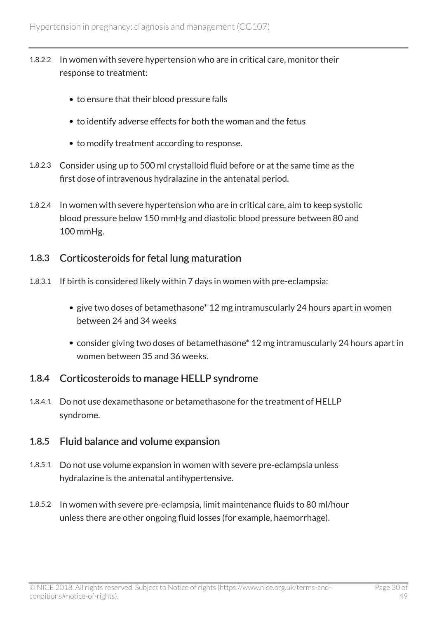- 1.8.2.2 In women with severe hypertension who are in critical care, monitor their response to treatment:
	- to ensure that their blood pressure falls
	- to identify adverse effects for both the woman and the fetus
	- to modify treatment according to response.
- 1.8.2.3 Consider using up to 500 ml crystalloid fluid before or at the same time as the first dose of intravenous hydralazine in the antenatal period.
- 1.8.2.4 In women with severe hypertension who are in critical care, aim to keep systolic blood pressure below 150 mmHg and diastolic blood pressure between 80 and 100 mmHg.

### 1.8.3 Corticosteroids for fetal lung maturation

- 1.8.3.1 If birth is considered likely within 7 days in women with pre-eclampsia:
	- give two doses of betamethasone\* 12 mg intramuscularly 24 hours apart in women between 24 and 34 weeks
	- consider giving two doses of betamethasone\* 12 mg intramuscularly 24 hours apart in women between 35 and 36 weeks.

### 1.8.4 Corticosteroids to manage HELLP syndrome

1.8.4.1 Do not use dexamethasone or betamethasone for the treatment of HELLP syndrome.

#### 1.8.5 Fluid balance and volume expansion

- 1.8.5.1 Do not use volume expansion in women with severe pre-eclampsia unless hydralazine is the antenatal antihypertensive.
- 1.8.5.2 In women with severe pre-eclampsia, limit maintenance fluids to 80 ml/hour unless there are other ongoing fluid losses (for example, haemorrhage).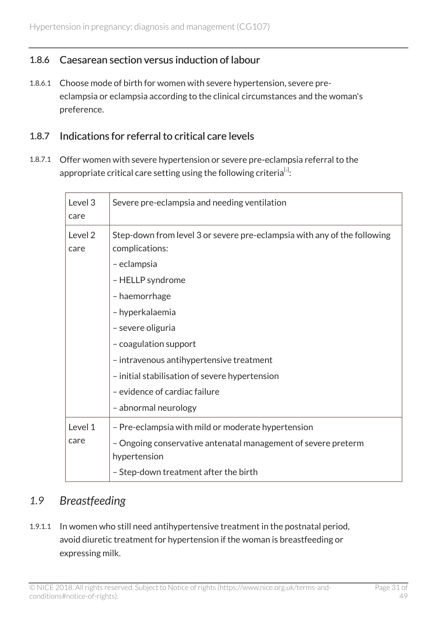### 1.8.6 Caesarean section versus induction of labour

1.8.6.1 Choose mode of birth for women with severe hypertension, severe preeclampsia or eclampsia according to the clinical circumstances and the woman's preference.

#### 1.8.7 Indications for referral to critical care levels

<span id="page-30-1"></span>1.8.7.1 Offer women with severe hypertension or severe pre-eclampsia referral to the appropriate critical care setting using the following criteria $^{[s]}$ :

| Level 3<br>care | Severe pre-eclampsia and needing ventilation                                                                                                                                                                                                                                                                                                                           |
|-----------------|------------------------------------------------------------------------------------------------------------------------------------------------------------------------------------------------------------------------------------------------------------------------------------------------------------------------------------------------------------------------|
| Level 2<br>care | Step-down from level 3 or severe pre-eclampsia with any of the following<br>complications:<br>- eclampsia<br>- HELLP syndrome<br>- haemorrhage<br>- hyperkalaemia<br>- severe oliguria<br>- coagulation support<br>- intravenous antihypertensive treatment<br>- initial stabilisation of severe hypertension<br>- evidence of cardiac failure<br>- abnormal neurology |
| Level 1<br>care | - Pre-eclampsia with mild or moderate hypertension<br>- Ongoing conservative antenatal management of severe preterm<br>hypertension<br>- Step-down treatment after the birth                                                                                                                                                                                           |

# <span id="page-30-0"></span>*1.9 Breastfeeding*

1.9.1.1 In women who still need antihypertensive treatment in the postnatal period, avoid diuretic treatment for hypertension if the woman is breastfeeding or expressing milk.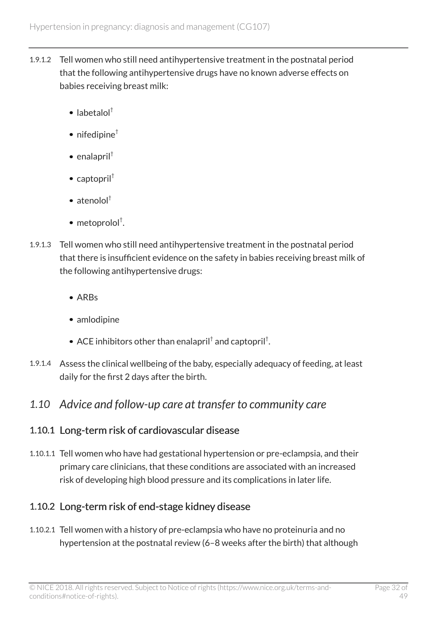- 1.9.1.2 Tell women who still need antihypertensive treatment in the postnatal period that the following antihypertensive drugs have no known adverse effects on babies receiving breast milk:
	- $\bullet$  labetalol<sup>†</sup>
	- nifedipine $<sup>†</sup>$ </sup>
	- $\bullet$  enalapril<sup>†</sup>
	- $\bullet$  captopril<sup>†</sup>
	- $\bullet$  atenolol<sup>†</sup>
	- metoprolol† .
- 1.9.1.3 Tell women who still need antihypertensive treatment in the postnatal period that there is insufficient evidence on the safety in babies receiving breast milk of the following antihypertensive drugs:
	- ARBs
	- amlodipine
	- ACE inhibitors other than enalapril $^\dagger$  and captopril $^\dagger$ .
- 1.9.1.4 Assess the clinical wellbeing of the baby, especially adequacy of feeding, at least daily for the first 2 days after the birth.

# <span id="page-31-0"></span>*1.10 Advice and follow-up care at transfer to community care*

# 1.10.1 Long-term risk of cardiovascular disease

1.10.1.1 Tell women who have had gestational hypertension or pre-eclampsia, and their primary care clinicians, that these conditions are associated with an increased risk of developing high blood pressure and its complications in later life.

# 1.10.2 Long-term risk of end-stage kidney disease

1.10.2.1 Tell women with a history of pre-eclampsia who have no proteinuria and no hypertension at the postnatal review (6–8 weeks after the birth) that although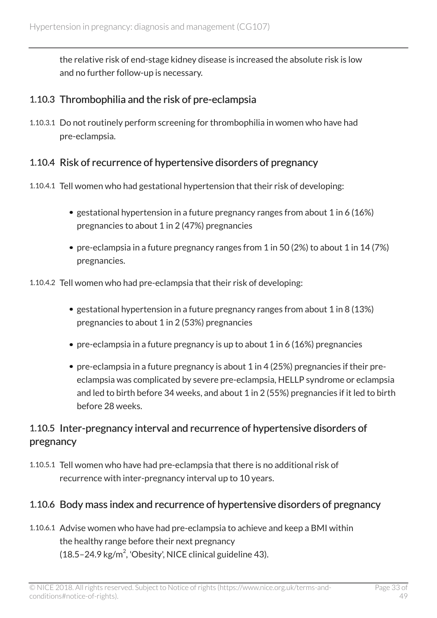the relative risk of end-stage kidney disease is increased the absolute risk is low and no further follow-up is necessary.

### 1.10.3 Thrombophilia and the risk of pre-eclampsia

1.10.3.1 Do not routinely perform screening for thrombophilia in women who have had pre-eclampsia.

### 1.10.4 Risk of recurrence of hypertensive disorders of pregnancy

- 1.10.4.1 Tell women who had gestational hypertension that their risk of developing:
	- gestational hypertension in a future pregnancy ranges from about 1 in 6 (16%) pregnancies to about 1 in 2 (47%) pregnancies
	- pre-eclampsia in a future pregnancy ranges from 1 in 50 (2%) to about 1 in 14 (7%) pregnancies.
- 1.10.4.2 Tell women who had pre-eclampsia that their risk of developing:
	- gestational hypertension in a future pregnancy ranges from about 1 in 8 (13%) pregnancies to about 1 in 2 (53%) pregnancies
	- pre-eclampsia in a future pregnancy is up to about 1 in 6 (16%) pregnancies
	- pre-eclampsia in a future pregnancy is about 1 in 4 (25%) pregnancies if their preeclampsia was complicated by severe pre-eclampsia, HELLP syndrome or eclampsia and led to birth before 34 weeks, and about 1 in 2 (55%) pregnancies if it led to birth before 28 weeks.

# 1.10.5 Inter-pregnancy interval and recurrence of hypertensive disorders of pregnancy

1.10.5.1 Tell women who have had pre-eclampsia that there is no additional risk of recurrence with inter-pregnancy interval up to 10 years.

# 1.10.6 Body mass index and recurrence of hypertensive disorders of pregnancy

1.10.6.1 Advise women who have had pre-eclampsia to achieve and keep a BMI within the healthy range before their next pregnancy  $(18.5 - 24.9 \text{ kg/m}^2)$ , 'Obesity', NICE clinical guideline 43).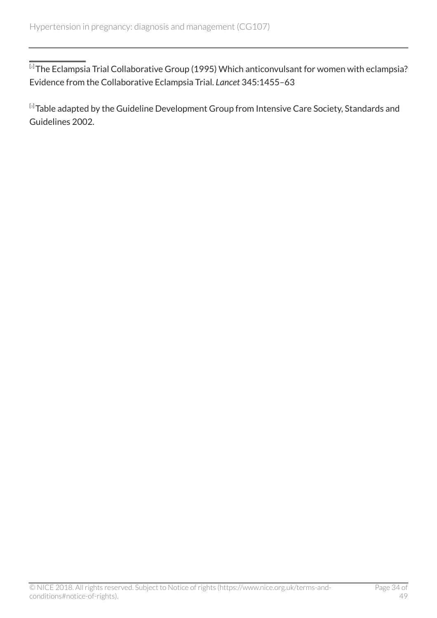<span id="page-33-0"></span> $^{[\imath]}$ The Eclampsia Trial Collaborative Group (1995) Which anticonvulsant for women with eclampsia? Evidence from the Collaborative Eclampsia Trial. *Lancet* 345:1455–63

<span id="page-33-1"></span> $^{\text{\tiny{[3]}}}$  $^{\text{\tiny{[3]}}}$  $^{\text{\tiny{[3]}}}$ Table adapted by the Guideline Development Group from Intensive Care Society, Standards and Guidelines 2002.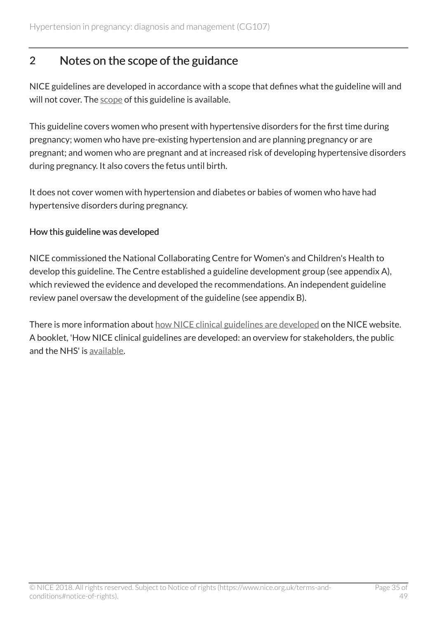# <span id="page-34-0"></span>2 Notes on the scope of the guidance

NICE guidelines are developed in accordance with a scope that defines what the guideline will and will not cover. The [scope](http://www.nice.org.uk/guidance/CG107/documents) of this guideline is available.

This guideline covers women who present with hypertensive disorders for the first time during pregnancy; women who have pre-existing hypertension and are planning pregnancy or are pregnant; and women who are pregnant and at increased risk of developing hypertensive disorders during pregnancy. It also covers the fetus until birth.

It does not cover women with hypertension and diabetes or babies of women who have had hypertensive disorders during pregnancy.

#### How this guideline was developed

NICE commissioned the National Collaborating Centre for Women's and Children's Health to develop this guideline. The Centre established a guideline development group (see appendix A), which reviewed the evidence and developed the recommendations. An independent guideline review panel oversaw the development of the guideline (see appendix B).

There is more information about [how NICE clinical guidelines are developed](http://www.nice.org.uk/about/what-we-do/our-programmes/nice-guidance/nice-guidelines) on the NICE website. A booklet, 'How NICE clinical guidelines are developed: an overview for stakeholders, the public and the NHS' is [available](http://www.nice.org.uk/aboutnice/howwework/developingniceclinicalguidelines/developing_nice_clinical_guidelines.jsp?domedia=1&mid=62F02D9B-19B9-E0B5-D4A26EC9A934FDC7).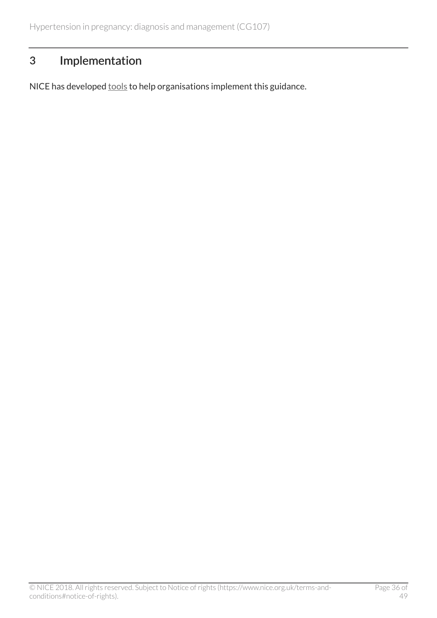# <span id="page-35-0"></span>3 Implementation

NICE has developed **[tools](http://www.nice.org.uk/guidance/CG107/resources)** to help organisations implement this guidance.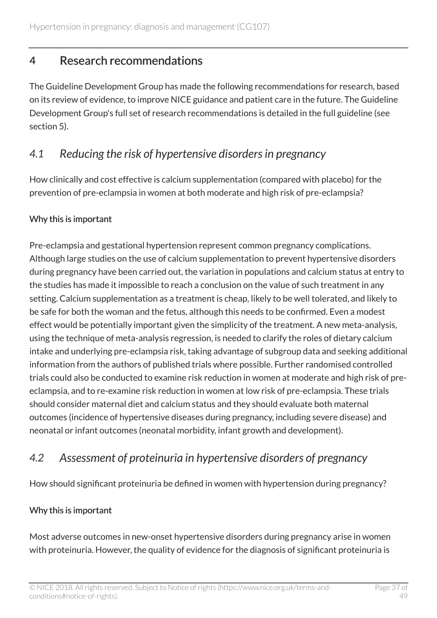# <span id="page-36-0"></span>4 Research recommendations

The Guideline Development Group has made the following recommendations for research, based on its review of evidence, to improve NICE guidance and patient care in the future. The Guideline Development Group's full set of research recommendations is detailed in the full guideline (see section 5).

# <span id="page-36-1"></span>*4.1 Reducing the risk of hypertensive disorders in pregnancy*

How clinically and cost effective is calcium supplementation (compared with placebo) for the prevention of pre-eclampsia in women at both moderate and high risk of pre-eclampsia?

### Why this is important

Pre-eclampsia and gestational hypertension represent common pregnancy complications. Although large studies on the use of calcium supplementation to prevent hypertensive disorders during pregnancy have been carried out, the variation in populations and calcium status at entry to the studies has made it impossible to reach a conclusion on the value of such treatment in any setting. Calcium supplementation as a treatment is cheap, likely to be well tolerated, and likely to be safe for both the woman and the fetus, although this needs to be confirmed. Even a modest effect would be potentially important given the simplicity of the treatment. A new meta-analysis, using the technique of meta-analysis regression, is needed to clarify the roles of dietary calcium intake and underlying pre-eclampsia risk, taking advantage of subgroup data and seeking additional information from the authors of published trials where possible. Further randomised controlled trials could also be conducted to examine risk reduction in women at moderate and high risk of preeclampsia, and to re-examine risk reduction in women at low risk of pre-eclampsia. These trials should consider maternal diet and calcium status and they should evaluate both maternal outcomes (incidence of hypertensive diseases during pregnancy, including severe disease) and neonatal or infant outcomes (neonatal morbidity, infant growth and development).

# <span id="page-36-2"></span>*4.2 Assessment of proteinuria in hypertensive disorders of pregnancy*

How should significant proteinuria be defined in women with hypertension during pregnancy?

#### Why this is important

Most adverse outcomes in new-onset hypertensive disorders during pregnancy arise in women with proteinuria. However, the quality of evidence for the diagnosis of significant proteinuria is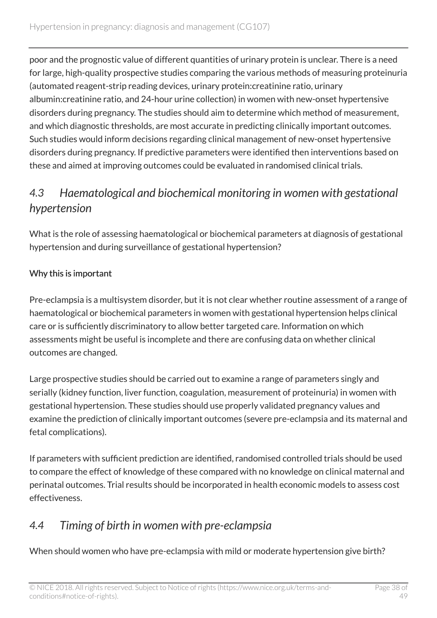poor and the prognostic value of different quantities of urinary protein is unclear. There is a need for large, high-quality prospective studies comparing the various methods of measuring proteinuria (automated reagent-strip reading devices, urinary protein:creatinine ratio, urinary albumin:creatinine ratio, and 24-hour urine collection) in women with new-onset hypertensive disorders during pregnancy. The studies should aim to determine which method of measurement, and which diagnostic thresholds, are most accurate in predicting clinically important outcomes. Such studies would inform decisions regarding clinical management of new-onset hypertensive disorders during pregnancy. If predictive parameters were identified then interventions based on these and aimed at improving outcomes could be evaluated in randomised clinical trials.

# <span id="page-37-0"></span>*4.3 Haematological and biochemical monitoring in women with gestational hypertension*

What is the role of assessing haematological or biochemical parameters at diagnosis of gestational hypertension and during surveillance of gestational hypertension?

### Why this is important

Pre-eclampsia is a multisystem disorder, but it is not clear whether routine assessment of a range of haematological or biochemical parameters in women with gestational hypertension helps clinical care or is sufficiently discriminatory to allow better targeted care. Information on which assessments might be useful is incomplete and there are confusing data on whether clinical outcomes are changed.

Large prospective studies should be carried out to examine a range of parameters singly and serially (kidney function, liver function, coagulation, measurement of proteinuria) in women with gestational hypertension. These studies should use properly validated pregnancy values and examine the prediction of clinically important outcomes (severe pre-eclampsia and its maternal and fetal complications).

If parameters with sufficient prediction are identified, randomised controlled trials should be used to compare the effect of knowledge of these compared with no knowledge on clinical maternal and perinatal outcomes. Trial results should be incorporated in health economic models to assess cost effectiveness.

# <span id="page-37-1"></span>*4.4 Timing of birth in women with pre-eclampsia*

When should women who have pre-eclampsia with mild or moderate hypertension give birth?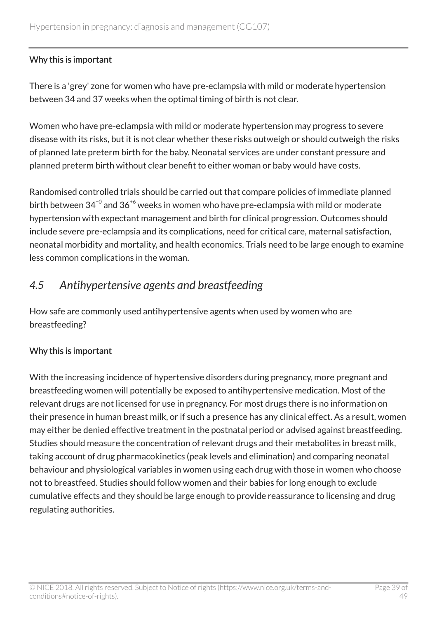#### Why this is important

There is a 'grey' zone for women who have pre-eclampsia with mild or moderate hypertension between 34 and 37 weeks when the optimal timing of birth is not clear.

Women who have pre-eclampsia with mild or moderate hypertension may progress to severe disease with its risks, but it is not clear whether these risks outweigh or should outweigh the risks of planned late preterm birth for the baby. Neonatal services are under constant pressure and planned preterm birth without clear benefit to either woman or baby would have costs.

Randomised controlled trials should be carried out that compare policies of immediate planned birth between  $34^{+0}$  and  $36^{+6}$  weeks in women who have pre-eclampsia with mild or moderate hypertension with expectant management and birth for clinical progression. Outcomes should include severe pre-eclampsia and its complications, need for critical care, maternal satisfaction, neonatal morbidity and mortality, and health economics. Trials need to be large enough to examine less common complications in the woman.

# <span id="page-38-0"></span>*4.5 Antihypertensive agents and breastfeeding*

How safe are commonly used antihypertensive agents when used by women who are breastfeeding?

#### Why this is important

With the increasing incidence of hypertensive disorders during pregnancy, more pregnant and breastfeeding women will potentially be exposed to antihypertensive medication. Most of the relevant drugs are not licensed for use in pregnancy. For most drugs there is no information on their presence in human breast milk, or if such a presence has any clinical effect. As a result, women may either be denied effective treatment in the postnatal period or advised against breastfeeding. Studies should measure the concentration of relevant drugs and their metabolites in breast milk, taking account of drug pharmacokinetics (peak levels and elimination) and comparing neonatal behaviour and physiological variables in women using each drug with those in women who choose not to breastfeed. Studies should follow women and their babies for long enough to exclude cumulative effects and they should be large enough to provide reassurance to licensing and drug regulating authorities.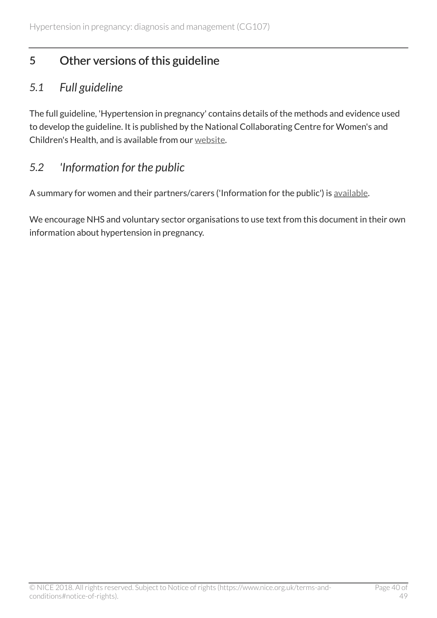# <span id="page-39-0"></span>5 Other versions of this guideline

# <span id="page-39-1"></span>*5.1 Full guideline*

The full guideline, 'Hypertension in pregnancy' contains details of the methods and evidence used to develop the guideline. It is published by the National Collaborating Centre for Women's and Children's Health, and is available from our [website](http://www.nice.org.uk/guidance/CG107/evidence).

# <span id="page-39-2"></span>*5.2 'Information for the public*

A summary for women and their partners/carers ('Information for the public') is [available.](http://www.nice.org.uk/guidance/CG107/informationforpublic)

We encourage NHS and voluntary sector organisations to use text from this document in their own information about hypertension in pregnancy.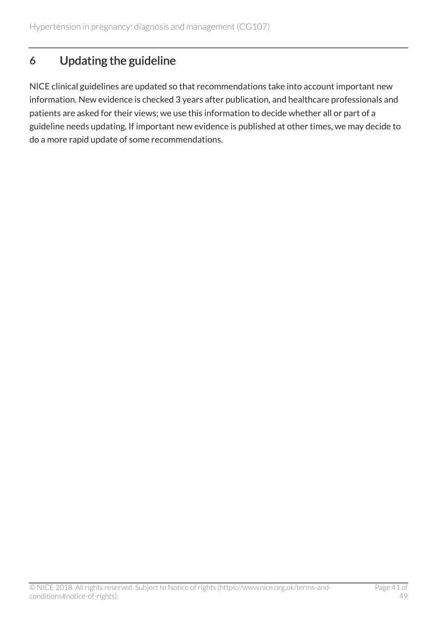# <span id="page-40-0"></span>6 Updating the guideline

NICE clinical guidelines are updated so that recommendations take into account important new information. New evidence is checked 3 years after publication, and healthcare professionals and patients are asked for their views; we use this information to decide whether all or part of a guideline needs updating. If important new evidence is published at other times, we may decide to do a more rapid update of some recommendations.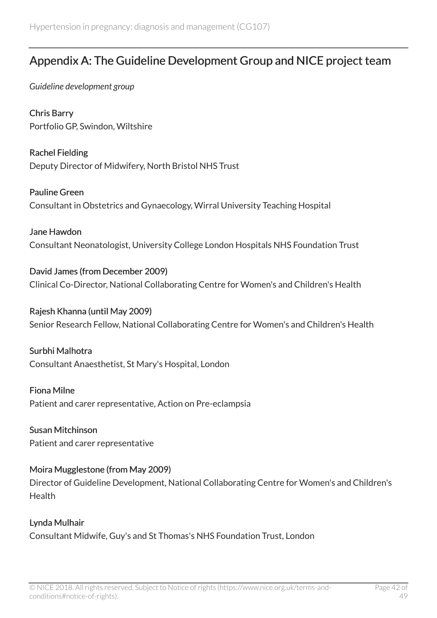# <span id="page-41-0"></span>Appendix A: The Guideline Development Group and NICE project team

*Guideline development group*

Chris Barry Portfolio GP, Swindon, Wiltshire

Rachel Fielding Deputy Director of Midwifery, North Bristol NHS Trust

Pauline Green Consultant in Obstetrics and Gynaecology, Wirral University Teaching Hospital

Jane Hawdon Consultant Neonatologist, University College London Hospitals NHS Foundation Trust

David James (from December 2009) Clinical Co-Director, National Collaborating Centre for Women's and Children's Health

Rajesh Khanna (until May 2009) Senior Research Fellow, National Collaborating Centre for Women's and Children's Health

Surbhi Malhotra Consultant Anaesthetist, St Mary's Hospital, London

Fiona Milne Patient and carer representative, Action on Pre-eclampsia

Susan Mitchinson Patient and carer representative

Moira Mugglestone (from May 2009) Director of Guideline Development, National Collaborating Centre for Women's and Children's **Health** 

Lynda Mulhair Consultant Midwife, Guy's and St Thomas's NHS Foundation Trust, London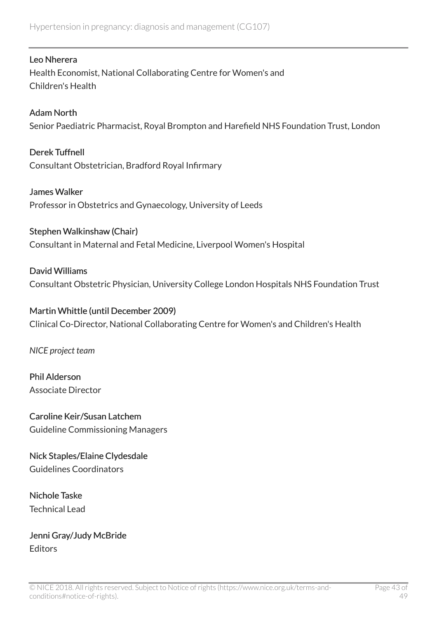#### Leo Nherera

Health Economist, National Collaborating Centre for Women's and Children's Health

#### Adam North

Senior Paediatric Pharmacist, Royal Brompton and Harefield NHS Foundation Trust, London

Derek Tuffnell Consultant Obstetrician, Bradford Royal Infirmary

James Walker Professor in Obstetrics and Gynaecology, University of Leeds

#### Stephen Walkinshaw (Chair)

Consultant in Maternal and Fetal Medicine, Liverpool Women's Hospital

#### David Williams

Consultant Obstetric Physician, University College London Hospitals NHS Foundation Trust

#### Martin Whittle (until December 2009)

Clinical Co-Director, National Collaborating Centre for Women's and Children's Health

*NICE project team*

Phil Alderson Associate Director

Caroline Keir/Susan Latchem Guideline Commissioning Managers

Nick Staples/Elaine Clydesdale Guidelines Coordinators

Nichole Taske Technical Lead

Jenni Gray/Judy McBride **Editors**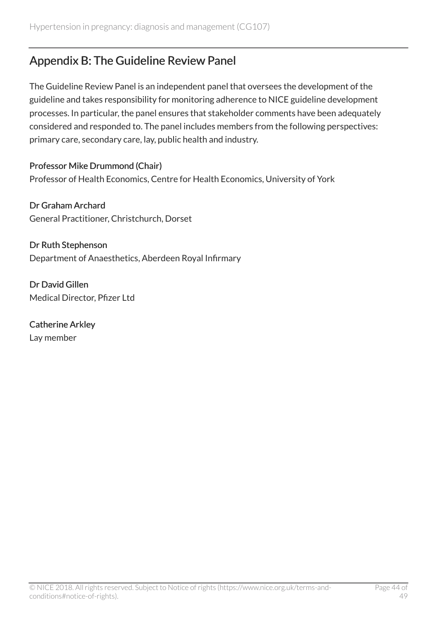# <span id="page-43-0"></span>Appendix B: The Guideline Review Panel

The Guideline Review Panel is an independent panel that oversees the development of the guideline and takes responsibility for monitoring adherence to NICE guideline development processes. In particular, the panel ensures that stakeholder comments have been adequately considered and responded to. The panel includes members from the following perspectives: primary care, secondary care, lay, public health and industry.

Professor Mike Drummond (Chair) Professor of Health Economics, Centre for Health Economics, University of York

Dr Graham Archard General Practitioner, Christchurch, Dorset

Dr Ruth Stephenson Department of Anaesthetics, Aberdeen Royal Infirmary

Dr David Gillen Medical Director, Pfizer Ltd

Catherine Arkley Lay member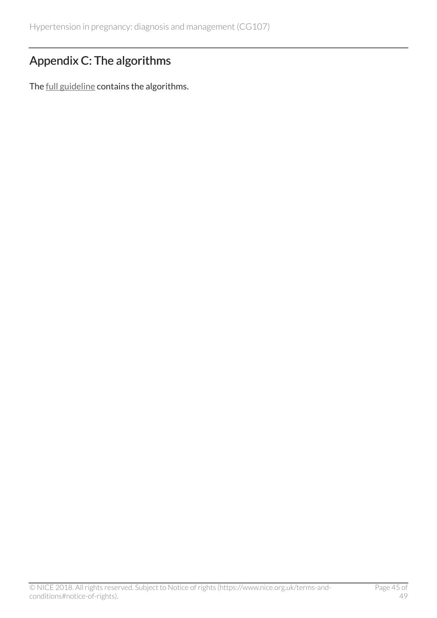# <span id="page-44-0"></span>Appendix C: The algorithms

The [full guideline](http://www.nice.org.uk/guidance/CG107/evidence) contains the algorithms.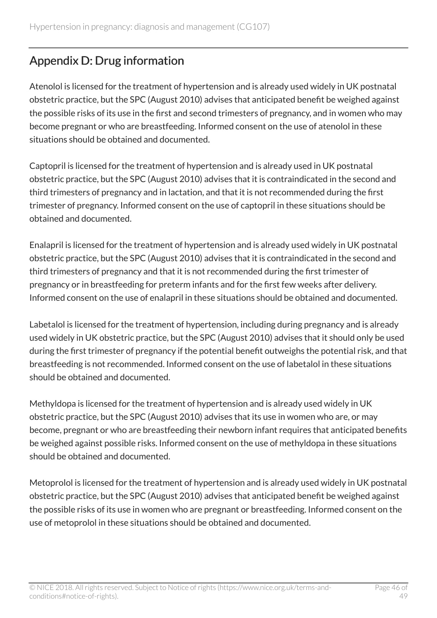# <span id="page-45-0"></span>Appendix D: Drug information

Atenolol is licensed for the treatment of hypertension and is already used widely in UK postnatal obstetric practice, but the SPC (August 2010) advises that anticipated benefit be weighed against the possible risks of its use in the first and second trimesters of pregnancy, and in women who may become pregnant or who are breastfeeding. Informed consent on the use of atenolol in these situations should be obtained and documented.

Captopril is licensed for the treatment of hypertension and is already used in UK postnatal obstetric practice, but the SPC (August 2010) advises that it is contraindicated in the second and third trimesters of pregnancy and in lactation, and that it is not recommended during the first trimester of pregnancy. Informed consent on the use of captopril in these situations should be obtained and documented.

Enalapril is licensed for the treatment of hypertension and is already used widely in UK postnatal obstetric practice, but the SPC (August 2010) advises that it is contraindicated in the second and third trimesters of pregnancy and that it is not recommended during the first trimester of pregnancy or in breastfeeding for preterm infants and for the first few weeks after delivery. Informed consent on the use of enalapril in these situations should be obtained and documented.

Labetalol is licensed for the treatment of hypertension, including during pregnancy and is already used widely in UK obstetric practice, but the SPC (August 2010) advises that it should only be used during the first trimester of pregnancy if the potential benefit outweighs the potential risk, and that breastfeeding is not recommended. Informed consent on the use of labetalol in these situations should be obtained and documented.

Methyldopa is licensed for the treatment of hypertension and is already used widely in UK obstetric practice, but the SPC (August 2010) advises that its use in women who are, or may become, pregnant or who are breastfeeding their newborn infant requires that anticipated benefits be weighed against possible risks. Informed consent on the use of methyldopa in these situations should be obtained and documented.

Metoprolol is licensed for the treatment of hypertension and is already used widely in UK postnatal obstetric practice, but the SPC (August 2010) advises that anticipated benefit be weighed against the possible risks of its use in women who are pregnant or breastfeeding. Informed consent on the use of metoprolol in these situations should be obtained and documented.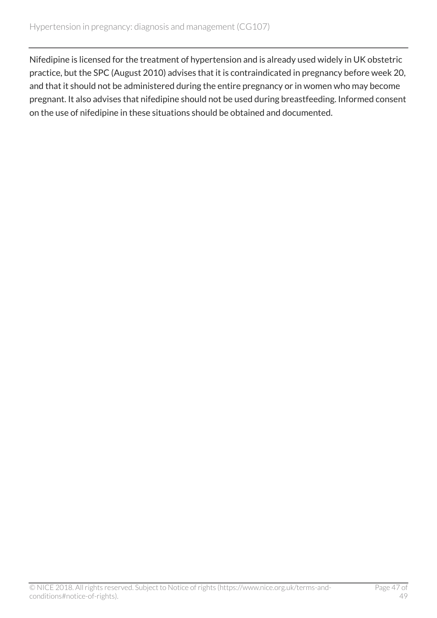Nifedipine is licensed for the treatment of hypertension and is already used widely in UK obstetric practice, but the SPC (August 2010) advises that it is contraindicated in pregnancy before week 20, and that it should not be administered during the entire pregnancy or in women who may become pregnant. It also advises that nifedipine should not be used during breastfeeding. Informed consent on the use of nifedipine in these situations should be obtained and documented.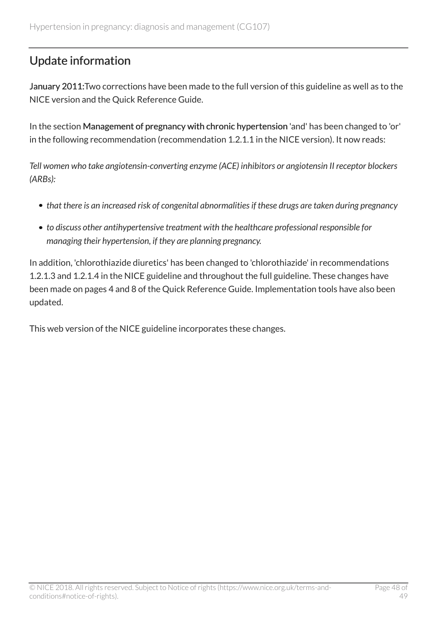# <span id="page-47-0"></span>Update information

January 2011:Two corrections have been made to the full version of this guideline as well as to the NICE version and the Quick Reference Guide.

In the section Management of pregnancy with chronic hypertension 'and' has been changed to 'or' in the following recommendation (recommendation 1.2.1.1 in the NICE version). It now reads:

*Tell women who take angiotensin-converting enzyme (ACE) inhibitors or angiotensin II receptor blockers (ARBs):*

- *that there is an increased risk of congenital abnormalities if these drugs are taken during pregnancy*
- *to discuss other antihypertensive treatment with the healthcare professional responsible for managing their hypertension, if they are planning pregnancy.*

In addition, 'chlorothiazide diuretics' has been changed to 'chlorothiazide' in recommendations 1.2.1.3 and 1.2.1.4 in the NICE guideline and throughout the full guideline. These changes have been made on pages 4 and 8 of the Quick Reference Guide. Implementation tools have also been updated.

This web version of the NICE guideline incorporates these changes.